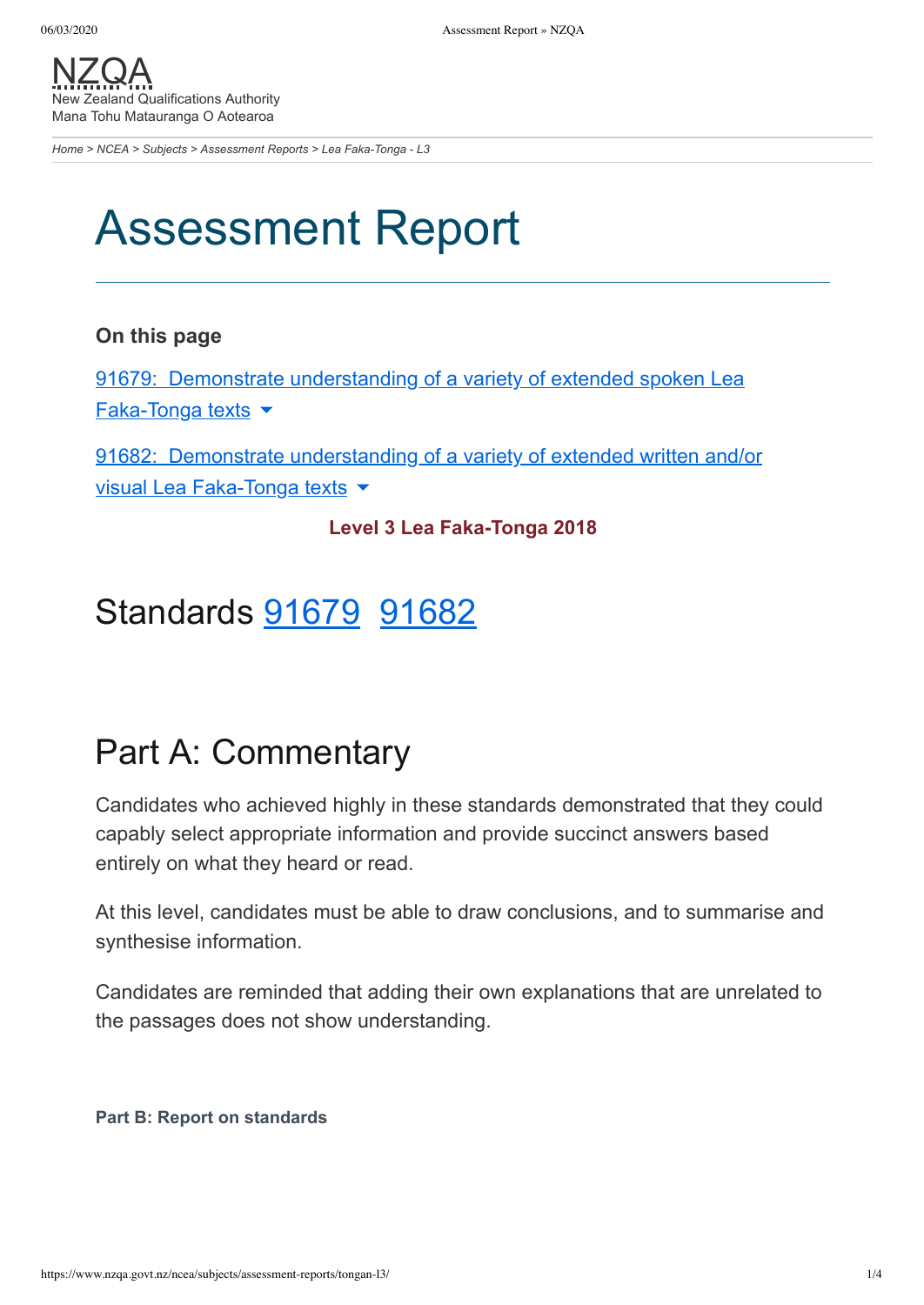[NZQA](https://www.nzqa.govt.nz/) New Zealand Qualifications Authority Mana Tohu Matauranga O Aotearoa

*[Home](https://www.nzqa.govt.nz/home) > [NCEA](https://www.nzqa.govt.nz/ncea/) > [Subjects](https://www.nzqa.govt.nz/ncea/subjects/) > [Assessment Reports](https://www.nzqa.govt.nz/ncea/subjects/assessment-reports/) > Lea Faka-Tonga - L3*

# Assessment Report

#### **On this page**

91679: Demonstrate [understanding](https://www.nzqa.govt.nz/ncea/subjects/assessment-reports/tongan-l3/#heading2-0) of a variety of extended spoken Lea  $Faka-Tonga texts$ 

91682: Demonstrate [understanding](https://www.nzqa.govt.nz/ncea/subjects/assessment-reports/tongan-l3/#heading2-1) of a variety of extended written and/or visual Lea Faka-Tonga texts ▼

#### **Level 3 Lea Faka-Tonga 2018**

### Standards [91679](https://www.nzqa.govt.nz/ncea/subjects/assessment-reports/tongan-l3/#91679) [91682](https://www.nzqa.govt.nz/ncea/subjects/assessment-reports/tongan-l3/#91682)

### Part A: Commentary

Candidates who achieved highly in these standards demonstrated that they could capably select appropriate information and provide succinct answers based entirely on what they heard or read.

At this level, candidates must be able to draw conclusions, and to summarise and synthesise information.

Candidates are reminded that adding their own explanations that are unrelated to the passages does not show understanding.

**Part B: Report on standards**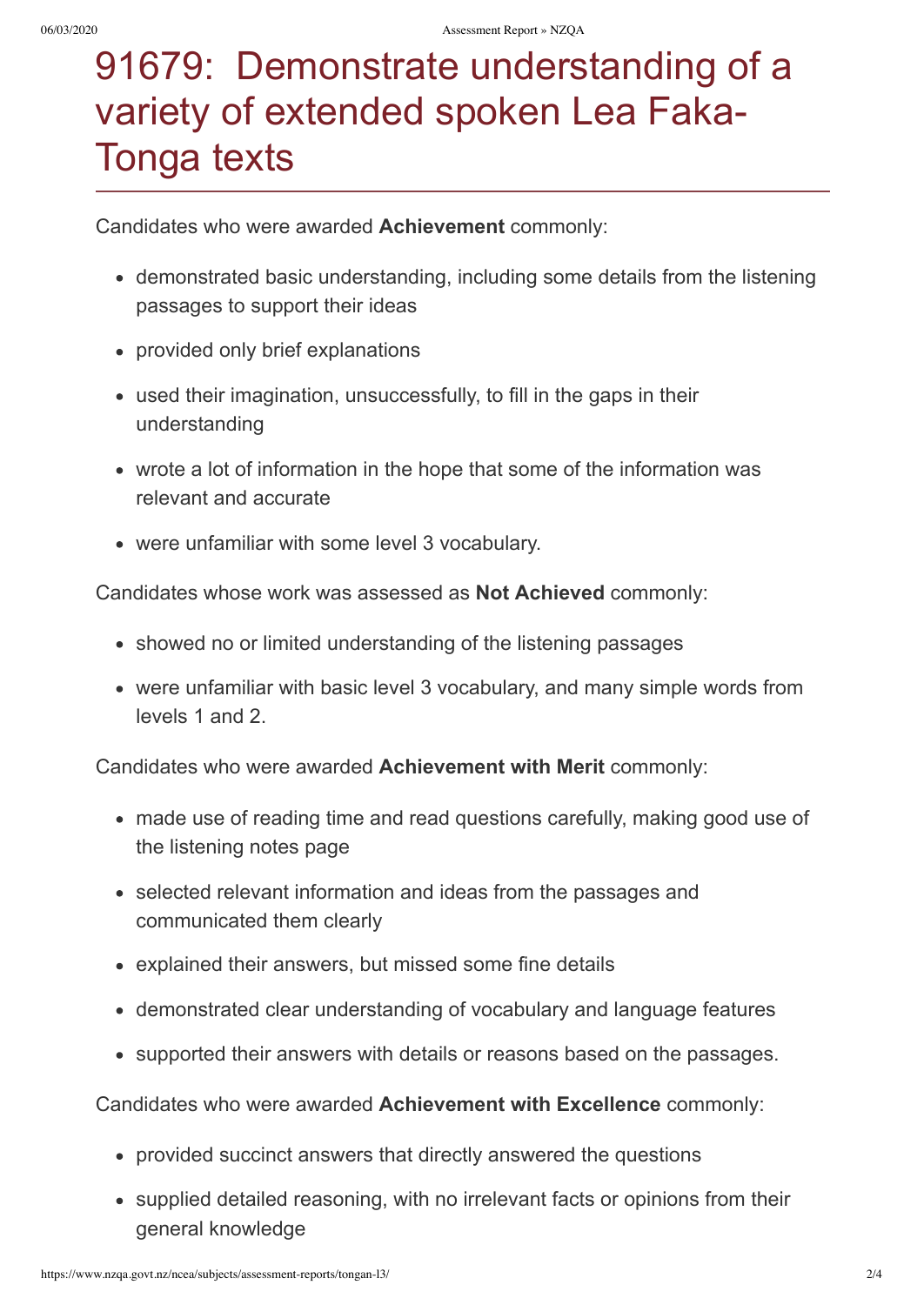# 91679: Demonstrate understanding of a variety of extended spoken Lea Faka-Tonga texts

Candidates who were awarded **Achievement** commonly:

- demonstrated basic understanding, including some details from the listening passages to support their ideas
- provided only brief explanations
- used their imagination, unsuccessfully, to fill in the gaps in their understanding
- wrote a lot of information in the hope that some of the information was relevant and accurate
- were unfamiliar with some level 3 vocabulary.

Candidates whose work was assessed as **Not Achieved** commonly:

- showed no or limited understanding of the listening passages
- were unfamiliar with basic level 3 vocabulary, and many simple words from levels 1 and 2.

Candidates who were awarded **Achievement with Merit** commonly:

- made use of reading time and read questions carefully, making good use of the listening notes page
- selected relevant information and ideas from the passages and communicated them clearly
- explained their answers, but missed some fine details
- demonstrated clear understanding of vocabulary and language features
- supported their answers with details or reasons based on the passages.

Candidates who were awarded **Achievement with Excellence** commonly:

- provided succinct answers that directly answered the questions
- supplied detailed reasoning, with no irrelevant facts or opinions from their general knowledge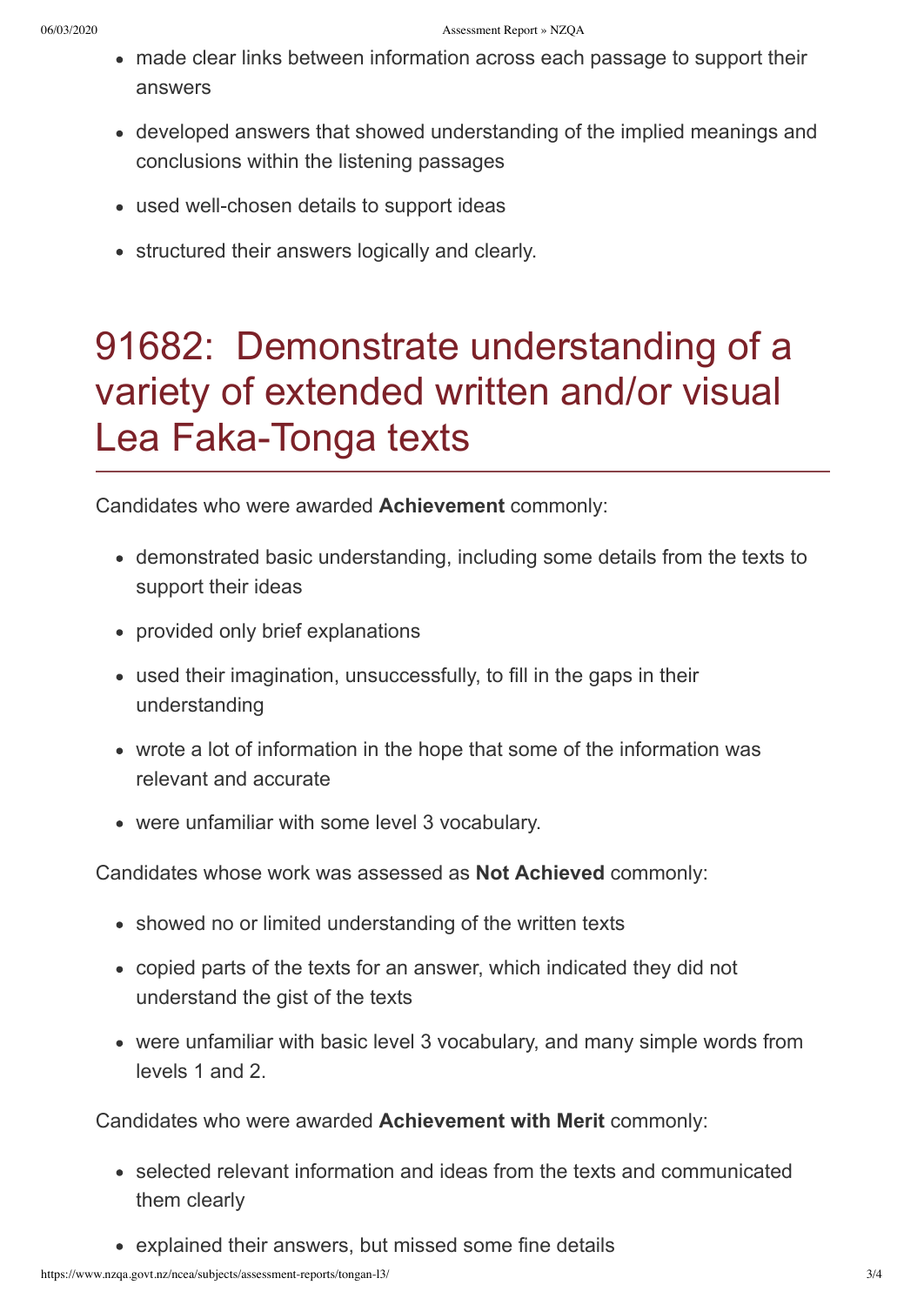- made clear links between information across each passage to support their answers
- developed answers that showed understanding of the implied meanings and conclusions within the listening passages
- used well-chosen details to support ideas
- structured their answers logically and clearly.

## 91682: Demonstrate understanding of a variety of extended written and/or visual Lea Faka-Tonga texts

Candidates who were awarded **Achievement** commonly:

- demonstrated basic understanding, including some details from the texts to support their ideas
- provided only brief explanations
- used their imagination, unsuccessfully, to fill in the gaps in their understanding
- wrote a lot of information in the hope that some of the information was relevant and accurate
- were unfamiliar with some level 3 vocabulary.

Candidates whose work was assessed as **Not Achieved** commonly:

- showed no or limited understanding of the written texts
- copied parts of the texts for an answer, which indicated they did not understand the gist of the texts
- were unfamiliar with basic level 3 vocabulary, and many simple words from levels 1 and 2.

Candidates who were awarded **Achievement with Merit** commonly:

- selected relevant information and ideas from the texts and communicated them clearly
- explained their answers, but missed some fine details